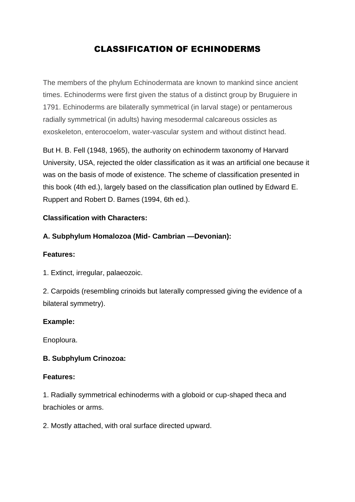# CLASSIFICATION OF ECHINODERMS

The members of the phylum Echinodermata are known to mankind since ancient times. Echinoderms were first given the status of a distinct group by Bruguiere in 1791. Echinoderms are bilaterally symmetrical (in larval stage) or pentamerous radially symmetrical (in adults) having mesodermal calcareous ossicles as exoskeleton, enterocoelom, water-vascular system and without distinct head.

But H. B. Fell (1948, 1965), the authority on echinoderm taxonomy of Harvard University, USA, rejected the older classification as it was an artificial one because it was on the basis of mode of existence. The scheme of classification presented in this book (4th ed.), largely based on the classification plan outlined by Edward E. Ruppert and Robert D. Barnes (1994, 6th ed.).

#### **Classification with Characters:**

#### **A. Subphylum Homalozoa (Mid- Cambrian —Devonian):**

#### **Features:**

1. Extinct, irregular, palaeozoic.

2. Carpoids (resembling crinoids but laterally compressed giving the evidence of a bilateral symmetry).

#### **Example:**

Enoploura.

#### **B. Subphylum Crinozoa:**

#### **Features:**

1. Radially symmetrical echinoderms with a globoid or cup-shaped theca and brachioles or arms.

2. Mostly attached, with oral surface directed upward.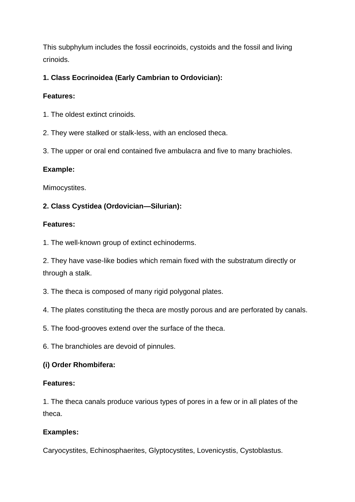This subphylum includes the fossil eocrinoids, cystoids and the fossil and living crinoids.

## **1. Class Eocrinoidea (Early Cambrian to Ordovician):**

## **Features:**

- 1. The oldest extinct crinoids.
- 2. They were stalked or stalk-less, with an enclosed theca.
- 3. The upper or oral end contained five ambulacra and five to many brachioles.

## **Example:**

Mimocystites.

## **2. Class Cystidea (Ordovician—Silurian):**

## **Features:**

1. The well-known group of extinct echinoderms.

2. They have vase-like bodies which remain fixed with the substratum directly or through a stalk.

- 3. The theca is composed of many rigid polygonal plates.
- 4. The plates constituting the theca are mostly porous and are perforated by canals.
- 5. The food-grooves extend over the surface of the theca.
- 6. The branchioles are devoid of pinnules.

## **(i) Order Rhombifera:**

### **Features:**

1. The theca canals produce various types of pores in a few or in all plates of the theca.

## **Examples:**

Caryocystites, Echinosphaerites, Glyptocystites, Lovenicystis, Cystoblastus.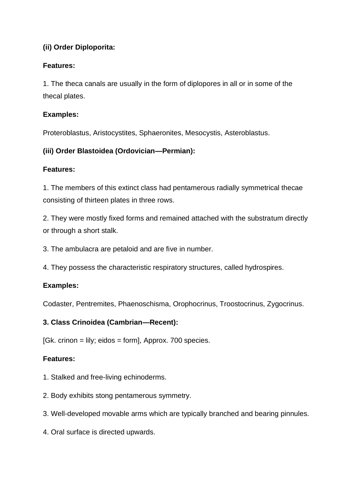## **(ii) Order Diploporita:**

### **Features:**

1. The theca canals are usually in the form of diplopores in all or in some of the thecal plates.

### **Examples:**

Proteroblastus, Aristocystites, Sphaeronites, Mesocystis, Asteroblastus.

### **(iii) Order Blastoidea (Ordovician—Permian):**

#### **Features:**

1. The members of this extinct class had pentamerous radially symmetrical thecae consisting of thirteen plates in three rows.

2. They were mostly fixed forms and remained attached with the substratum directly or through a short stalk.

3. The ambulacra are petaloid and are five in number.

4. They possess the characteristic respiratory structures, called hydrospires.

### **Examples:**

Codaster, Pentremites, Phaenoschisma, Orophocrinus, Troostocrinus, Zygocrinus.

### **3. Class Crinoidea (Cambrian—Recent):**

 $[Gk. crinon = lily; eidos = form, Approx. 700 species.$ 

- 1. Stalked and free-living echinoderms.
- 2. Body exhibits stong pentamerous symmetry.
- 3. Well-developed movable arms which are typically branched and bearing pinnules.
- 4. Oral surface is directed upwards.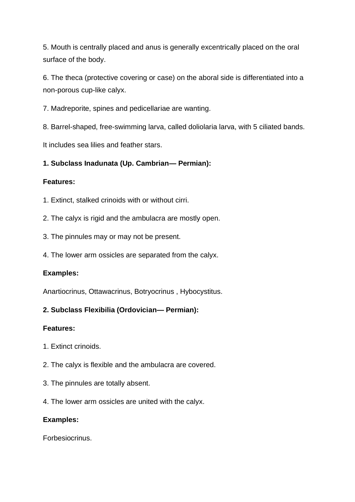5. Mouth is centrally placed and anus is generally excentrically placed on the oral surface of the body.

6. The theca (protective covering or case) on the aboral side is differentiated into a non-porous cup-like calyx.

7. Madreporite, spines and pedicellariae are wanting.

8. Barrel-shaped, free-swimming larva, called doliolaria larva, with 5 ciliated bands.

It includes sea lilies and feather stars.

### **1. Subclass Inadunata (Up. Cambrian— Permian):**

### **Features:**

- 1. Extinct, stalked crinoids with or without cirri.
- 2. The calyx is rigid and the ambulacra are mostly open.
- 3. The pinnules may or may not be present.
- 4. The lower arm ossicles are separated from the calyx.

### **Examples:**

Anartiocrinus, Ottawacrinus, Botryocrinus , Hybocystitus.

### **2. Subclass Flexibilia (Ordovician— Permian):**

#### **Features:**

- 1. Extinct crinoids.
- 2. The calyx is flexible and the ambulacra are covered.
- 3. The pinnules are totally absent.
- 4. The lower arm ossicles are united with the calyx.

#### **Examples:**

Forbesiocrinus.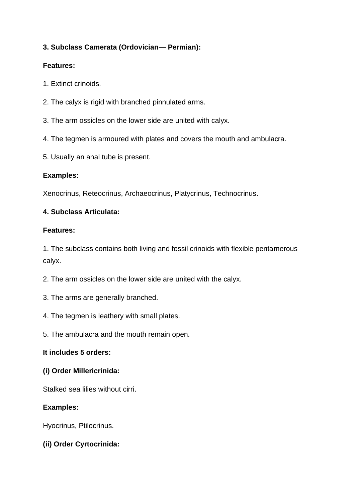### **3. Subclass Camerata (Ordovician— Permian):**

### **Features:**

- 1. Extinct crinoids.
- 2. The calyx is rigid with branched pinnulated arms.
- 3. The arm ossicles on the lower side are united with calyx.
- 4. The tegmen is armoured with plates and covers the mouth and ambulacra.
- 5. Usually an anal tube is present.

#### **Examples:**

Xenocrinus, Reteocrinus, Archaeocrinus, Platycrinus, Technocrinus.

#### **4. Subclass Articulata:**

#### **Features:**

1. The subclass contains both living and fossil crinoids with flexible pentamerous calyx.

- 2. The arm ossicles on the lower side are united with the calyx.
- 3. The arms are generally branched.
- 4. The tegmen is leathery with small plates.
- 5. The ambulacra and the mouth remain open.

#### **It includes 5 orders:**

#### **(i) Order Millericrinida:**

Stalked sea lilies without cirri.

### **Examples:**

Hyocrinus, Ptilocrinus.

### **(ii) Order Cyrtocrinida:**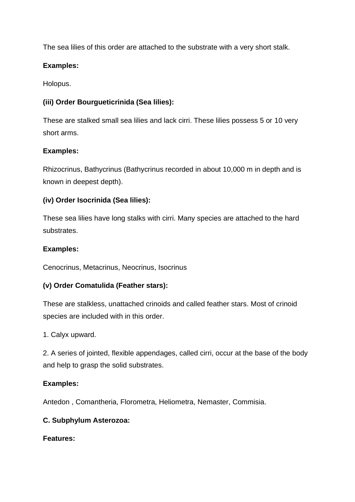The sea lilies of this order are attached to the substrate with a very short stalk.

## **Examples:**

Holopus.

## **(iii) Order Bourgueticrinida (Sea lilies):**

These are stalked small sea lilies and lack cirri. These lilies possess 5 or 10 very short arms.

### **Examples:**

Rhizocrinus, Bathycrinus (Bathycrinus recorded in about 10,000 m in depth and is known in deepest depth).

## **(iv) Order Isocrinida (Sea lilies):**

These sea lilies have long stalks with cirri. Many species are attached to the hard substrates.

### **Examples:**

Cenocrinus, Metacrinus, Neocrinus, Isocrinus

## **(v) Order Comatulida (Feather stars):**

These are stalkless, unattached crinoids and called feather stars. Most of crinoid species are included with in this order.

### 1. Calyx upward.

2. A series of jointed, flexible appendages, called cirri, occur at the base of the body and help to grasp the solid substrates.

### **Examples:**

Antedon , Comantheria, Florometra, Heliometra, Nemaster, Commisia.

### **C. Subphylum Asterozoa:**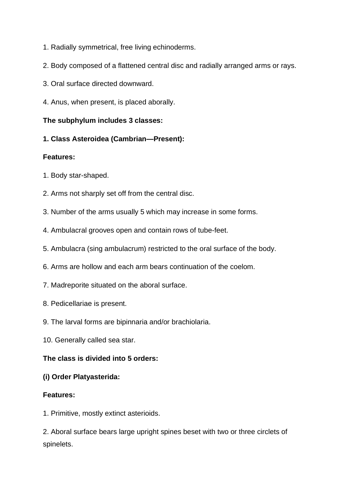- 1. Radially symmetrical, free living echinoderms.
- 2. Body composed of a flattened central disc and radially arranged arms or rays.
- 3. Oral surface directed downward.
- 4. Anus, when present, is placed aborally.

### **The subphylum includes 3 classes:**

**1. Class Asteroidea (Cambrian—Present):**

#### **Features:**

- 1. Body star-shaped.
- 2. Arms not sharply set off from the central disc.
- 3. Number of the arms usually 5 which may increase in some forms.
- 4. Ambulacral grooves open and contain rows of tube-feet.
- 5. Ambulacra (sing ambulacrum) restricted to the oral surface of the body.
- 6. Arms are hollow and each arm bears continuation of the coelom.
- 7. Madreporite situated on the aboral surface.
- 8. Pedicellariae is present.
- 9. The larval forms are bipinnaria and/or brachiolaria.
- 10. Generally called sea star.

### **The class is divided into 5 orders:**

### **(i) Order Platyasterida:**

### **Features:**

1. Primitive, mostly extinct asterioids.

2. Aboral surface bears large upright spines beset with two or three circlets of spinelets.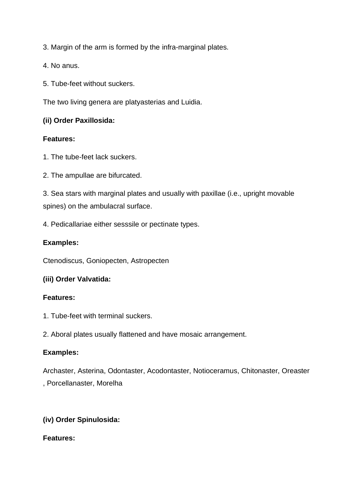3. Margin of the arm is formed by the infra-marginal plates.

4. No anus.

5. Tube-feet without suckers.

The two living genera are platyasterias and Luidia.

### **(ii) Order Paxillosida:**

#### **Features:**

- 1. The tube-feet lack suckers.
- 2. The ampullae are bifurcated.

3. Sea stars with marginal plates and usually with paxillae (i.e., upright movable spines) on the ambulacral surface.

4. Pedicallariae either sesssile or pectinate types.

### **Examples:**

Ctenodiscus, Goniopecten, Astropecten

### **(iii) Order Valvatida:**

### **Features:**

1. Tube-feet with terminal suckers.

2. Aboral plates usually flattened and have mosaic arrangement.

### **Examples:**

Archaster, Asterina, Odontaster, Acodontaster, Notioceramus, Chitonaster, Oreaster , Porcellanaster, Morelha

## **(iv) Order Spinulosida:**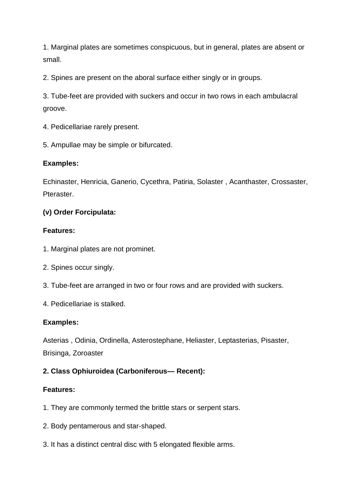1. Marginal plates are sometimes conspicuous, but in general, plates are absent or small.

2. Spines are present on the aboral surface either singly or in groups.

3. Tube-feet are provided with suckers and occur in two rows in each ambulacral groove.

- 4. Pedicellariae rarely present.
- 5. Ampullae may be simple or bifurcated.

### **Examples:**

Echinaster, Henricia, Ganerio, Cycethra, Patiria, Solaster , Acanthaster, Crossaster, Pteraster.

### **(v) Order Forcipulata:**

### **Features:**

- 1. Marginal plates are not prominet.
- 2. Spines occur singly.
- 3. Tube-feet are arranged in two or four rows and are provided with suckers.
- 4. Pedicellariae is stalked.

### **Examples:**

Asterias , Odinia, Ordinella, Asterostephane, Heliaster, Leptasterias, Pisaster, Brisinga, Zoroaster

### **2. Class Ophiuroidea (Carboniferous— Recent):**

- 1. They are commonly termed the brittle stars or serpent stars.
- 2. Body pentamerous and star-shaped.
- 3. It has a distinct central disc with 5 elongated flexible arms.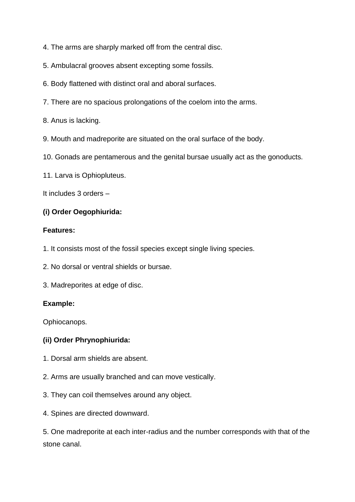4. The arms are sharply marked off from the central disc.

5. Ambulacral grooves absent excepting some fossils.

6. Body flattened with distinct oral and aboral surfaces.

7. There are no spacious prolongations of the coelom into the arms.

8. Anus is lacking.

9. Mouth and madreporite are situated on the oral surface of the body.

10. Gonads are pentamerous and the genital bursae usually act as the gonoducts.

11. Larva is Ophiopluteus.

It includes 3 orders –

#### **(i) Order Oegophiurida:**

#### **Features:**

1. It consists most of the fossil species except single living species.

2. No dorsal or ventral shields or bursae.

3. Madreporites at edge of disc.

#### **Example:**

Ophiocanops.

#### **(ii) Order Phrynophiurida:**

- 1. Dorsal arm shields are absent.
- 2. Arms are usually branched and can move vestically.
- 3. They can coil themselves around any object.
- 4. Spines are directed downward.

5. One madreporite at each inter-radius and the number corresponds with that of the stone canal.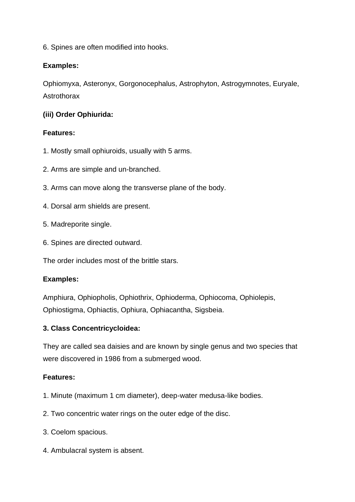6. Spines are often modified into hooks.

### **Examples:**

Ophiomyxa, Asteronyx, Gorgonocephalus, Astrophyton, Astrogymnotes, Euryale, Astrothorax

### **(iii) Order Ophiurida:**

### **Features:**

- 1. Mostly small ophiuroids, usually with 5 arms.
- 2. Arms are simple and un-branched.
- 3. Arms can move along the transverse plane of the body.
- 4. Dorsal arm shields are present.
- 5. Madreporite single.
- 6. Spines are directed outward.

The order includes most of the brittle stars.

### **Examples:**

Amphiura, Ophiopholis, Ophiothrix, Ophioderma, Ophiocoma, Ophiolepis, Ophiostigma, Ophiactis, Ophiura, Ophiacantha, Sigsbeia.

## **3. Class Concentricycloidea:**

They are called sea daisies and are known by single genus and two species that were discovered in 1986 from a submerged wood.

- 1. Minute (maximum 1 cm diameter), deep-water medusa-like bodies.
- 2. Two concentric water rings on the outer edge of the disc.
- 3. Coelom spacious.
- 4. Ambulacral system is absent.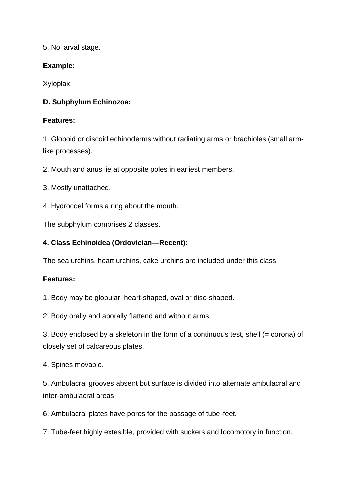5. No larval stage.

## **Example:**

Xyloplax.

## **D. Subphylum Echinozoa:**

## **Features:**

1. Globoid or discoid echinoderms without radiating arms or brachioles (small armlike processes).

2. Mouth and anus lie at opposite poles in earliest members.

- 3. Mostly unattached.
- 4. Hydrocoel forms a ring about the mouth.

The subphylum comprises 2 classes.

## **4. Class Echinoidea (Ordovician—Recent):**

The sea urchins, heart urchins, cake urchins are included under this class.

## **Features:**

1. Body may be globular, heart-shaped, oval or disc-shaped.

2. Body orally and aborally flattend and without arms.

3. Body enclosed by a skeleton in the form of a continuous test, shell (= corona) of closely set of calcareous plates.

4. Spines movable.

5. Ambulacral grooves absent but surface is divided into alternate ambulacral and inter-ambulacral areas.

6. Ambulacral plates have pores for the passage of tube-feet.

7. Tube-feet highly extesible, provided with suckers and locomotory in function.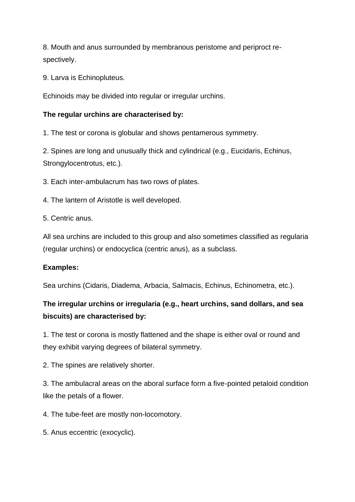8. Mouth and anus surrounded by membranous peristome and periproct respectively.

9. Larva is Echinopluteus.

Echinoids may be divided into regular or irregular urchins.

### **The regular urchins are characterised by:**

1. The test or corona is globular and shows pentamerous symmetry.

2. Spines are long and unusually thick and cylindrical (e.g., Eucidaris, Echinus, Strongylocentrotus, etc.).

3. Each inter-ambulacrum has two rows of plates.

4. The lantern of Aristotle is well developed.

5. Centric anus.

All sea urchins are included to this group and also sometimes classified as regularia (regular urchins) or endocyclica (centric anus), as a subclass.

## **Examples:**

Sea urchins (Cidaris, Diadema, Arbacia, Salmacis, Echinus, Echinometra, etc.).

# **The irregular urchins or irregularia (e.g., heart urchins, sand dollars, and sea biscuits) are characterised by:**

1. The test or corona is mostly flattened and the shape is either oval or round and they exhibit varying degrees of bilateral symmetry.

2. The spines are relatively shorter.

3. The ambulacral areas on the aboral surface form a five-pointed petaloid condition like the petals of a flower.

4. The tube-feet are mostly non-locomotory.

5. Anus eccentric (exocyclic).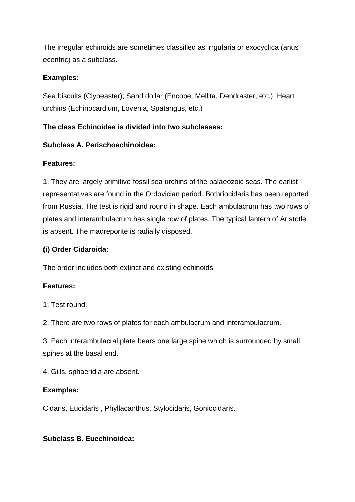The irregular echinoids are sometimes classified as irrgularia or exocyclica (anus ecentric) as a subclass.

### **Examples:**

Sea biscuits (Clypeaster); Sand dollar (Encope, Mellita, Dendraster, etc.); Heart urchins (Echinocardium, Lovenia, Spatangus, etc.)

## **The class Echinoidea is divided into two subclasses:**

### **Subclass A. Perischoechinoidea:**

### **Features:**

1. They are largely primitive fossil sea urchins of the palaeozoic seas. The earlist representatives are found in the Ordovician period. Bothriocidaris has been reported from Russia. The test is rigid and round in shape. Each ambulacrum has two rows of plates and interambulacrum has single row of plates. The typical lantern of Aristotle is absent. The madreporite is radially disposed.

## **(i) Order Cidaroida:**

The order includes both extinct and existing echinoids.

## **Features:**

1. Test round.

2. There are two rows of plates for each ambulacrum and interambulacrum.

3. Each interambulacral plate bears one large spine which is surrounded by small spines at the basal end.

4. Gills, sphaeridia are absent.

### **Examples:**

Cidaris, Eucidaris , Phyllacanthus, Stylocidaris, Goniocidaris.

### **Subclass B. Euechinoidea:**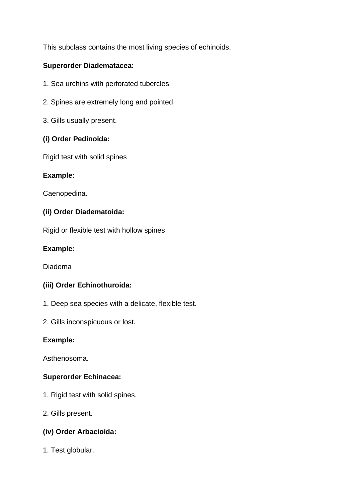This subclass contains the most living species of echinoids.

### **Superorder Diadematacea:**

- 1. Sea urchins with perforated tubercles.
- 2. Spines are extremely long and pointed.
- 3. Gills usually present.

### **(i) Order Pedinoida:**

Rigid test with solid spines

### **Example:**

Caenopedina.

### **(ii) Order Diadematoida:**

Rigid or flexible test with hollow spines

### **Example:**

Diadema

### **(iii) Order Echinothuroida:**

- 1. Deep sea species with a delicate, flexible test.
- 2. Gills inconspicuous or lost.

### **Example:**

Asthenosoma.

### **Superorder Echinacea:**

- 1. Rigid test with solid spines.
- 2. Gills present.

### **(iv) Order Arbacioida:**

1. Test globular.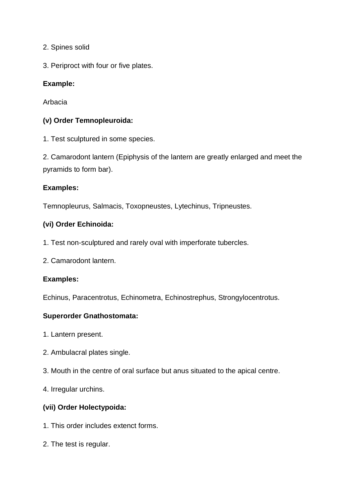2. Spines solid

3. Periproct with four or five plates.

## **Example:**

Arbacia

## **(v) Order Temnopleuroida:**

1. Test sculptured in some species.

2. Camarodont lantern (Epiphysis of the lantern are greatly enlarged and meet the pyramids to form bar).

### **Examples:**

Temnopleurus, Salmacis, Toxopneustes, Lytechinus, Tripneustes.

### **(vi) Order Echinoida:**

- 1. Test non-sculptured and rarely oval with imperforate tubercles.
- 2. Camarodont lantern.

### **Examples:**

Echinus, Paracentrotus, Echinometra, Echinostrephus, Strongylocentrotus.

### **Superorder Gnathostomata:**

- 1. Lantern present.
- 2. Ambulacral plates single.
- 3. Mouth in the centre of oral surface but anus situated to the apical centre.

4. Irregular urchins.

## **(vii) Order Holectypoida:**

- 1. This order includes extenct forms.
- 2. The test is regular.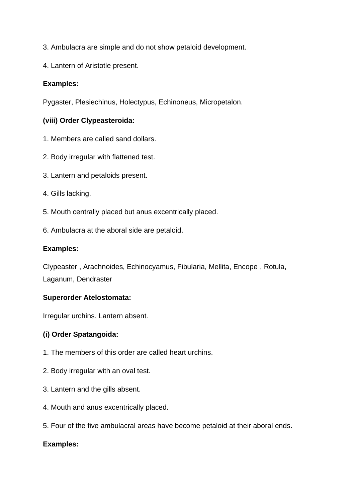- 3. Ambulacra are simple and do not show petaloid development.
- 4. Lantern of Aristotle present.

### **Examples:**

Pygaster, Plesiechinus, Holectypus, Echinoneus, Micropetalon.

## **(viii) Order Clypeasteroida:**

- 1. Members are called sand dollars.
- 2. Body irregular with flattened test.
- 3. Lantern and petaloids present.
- 4. Gills lacking.
- 5. Mouth centrally placed but anus excentrically placed.
- 6. Ambulacra at the aboral side are petaloid.

#### **Examples:**

Clypeaster , Arachnoides, Echinocyamus, Fibularia, Mellita, Encope , Rotula, Laganum, Dendraster

### **Superorder Atelostomata:**

Irregular urchins. Lantern absent.

### **(i) Order Spatangoida:**

- 1. The members of this order are called heart urchins.
- 2. Body irregular with an oval test.
- 3. Lantern and the gills absent.
- 4. Mouth and anus excentrically placed.
- 5. Four of the five ambulacral areas have become petaloid at their aboral ends.

### **Examples:**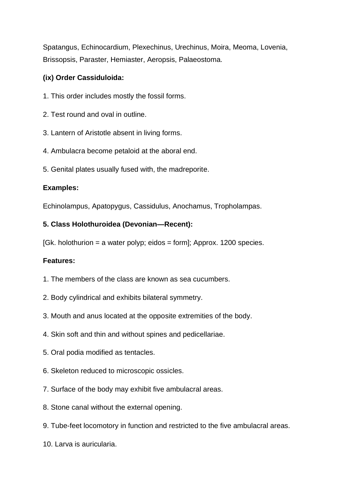Spatangus, Echinocardium, Plexechinus, Urechinus, Moira, Meoma, Lovenia, Brissopsis, Paraster, Hemiaster, Aeropsis, Palaeostoma.

### **(ix) Order Cassiduloida:**

- 1. This order includes mostly the fossil forms.
- 2. Test round and oval in outline.
- 3. Lantern of Aristotle absent in living forms.
- 4. Ambulacra become petaloid at the aboral end.
- 5. Genital plates usually fused with, the madreporite.

### **Examples:**

Echinolampus, Apatopygus, Cassidulus, Anochamus, Tropholampas.

### **5. Class Holothuroidea (Devonian—Recent):**

 $[Gk.$  holothurion = a water polyp; eidos = form]; Approx. 1200 species.

- 1. The members of the class are known as sea cucumbers.
- 2. Body cylindrical and exhibits bilateral symmetry.
- 3. Mouth and anus located at the opposite extremities of the body.
- 4. Skin soft and thin and without spines and pedicellariae.
- 5. Oral podia modified as tentacles.
- 6. Skeleton reduced to microscopic ossicles.
- 7. Surface of the body may exhibit five ambulacral areas.
- 8. Stone canal without the external opening.
- 9. Tube-feet locomotory in function and restricted to the five ambulacral areas.
- 10. Larva is auricularia.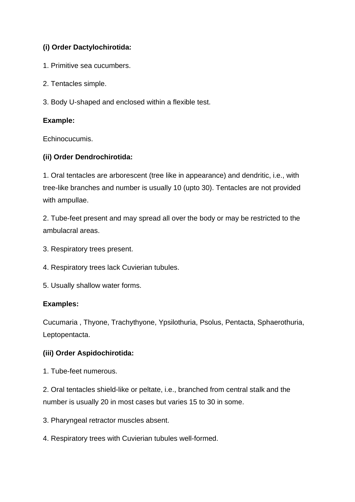## **(i) Order Dactylochirotida:**

- 1. Primitive sea cucumbers.
- 2. Tentacles simple.
- 3. Body U-shaped and enclosed within a flexible test.

### **Example:**

Echinocucumis.

### **(ii) Order Dendrochirotida:**

1. Oral tentacles are arborescent (tree like in appearance) and dendritic, i.e., with tree-like branches and number is usually 10 (upto 30). Tentacles are not provided with ampullae.

2. Tube-feet present and may spread all over the body or may be restricted to the ambulacral areas.

- 3. Respiratory trees present.
- 4. Respiratory trees lack Cuvierian tubules.
- 5. Usually shallow water forms.

### **Examples:**

Cucumaria , Thyone, Trachythyone, Ypsilothuria, Psolus, Pentacta, Sphaerothuria, Leptopentacta.

## **(iii) Order Aspidochirotida:**

1. Tube-feet numerous.

2. Oral tentacles shield-like or peltate, i.e., branched from central stalk and the number is usually 20 in most cases but varies 15 to 30 in some.

- 3. Pharyngeal retractor muscles absent.
- 4. Respiratory trees with Cuvierian tubules well-formed.